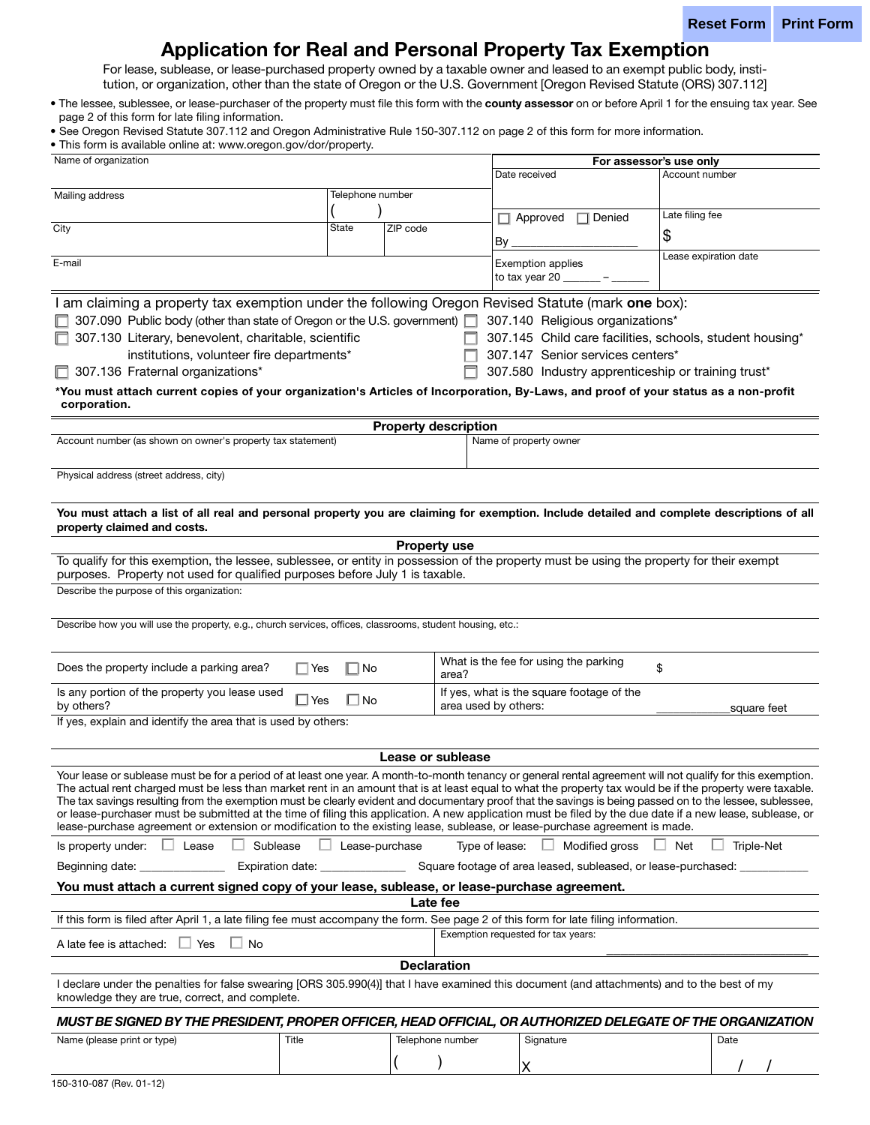# Application for Real and Personal Property Tax Exemption

For lease, sublease, or lease-purchased property owned by a taxable owner and leased to an exempt public body, institution, or organization, other than the state of Oregon or the U.S. Government [Oregon Revised Statute (ORS) 307.112]

. The lessee, sublessee, or lease-purchaser of the property must file this form with the county assessor on or before April 1 for the ensuing tax year. See page 2 of this form for late filing information.

• See Oregon Revised Statute 307.112 and Oregon Administrative Rule 150-307.112 on page 2 of this form for more information.

• This form is available online at: www.oregon.gov/dor/property.

| Name of organization                                                                                                                                                                                                                                                                                                  |                       |                             | For assessor's use only                                       |                       |
|-----------------------------------------------------------------------------------------------------------------------------------------------------------------------------------------------------------------------------------------------------------------------------------------------------------------------|-----------------------|-----------------------------|---------------------------------------------------------------|-----------------------|
|                                                                                                                                                                                                                                                                                                                       |                       | Date received               | Account number                                                |                       |
| Mailing address                                                                                                                                                                                                                                                                                                       | Telephone number      |                             |                                                               |                       |
|                                                                                                                                                                                                                                                                                                                       |                       |                             |                                                               | Late filing fee       |
| City                                                                                                                                                                                                                                                                                                                  | State                 | ZIP code                    | $\Box$ Approved<br>$\Box$ Denied                              |                       |
|                                                                                                                                                                                                                                                                                                                       |                       |                             | Вy                                                            | \$                    |
| E-mail                                                                                                                                                                                                                                                                                                                |                       |                             |                                                               | Lease expiration date |
|                                                                                                                                                                                                                                                                                                                       |                       |                             | <b>Exemption applies</b><br>to tax year 20                    |                       |
|                                                                                                                                                                                                                                                                                                                       |                       |                             |                                                               |                       |
| I am claiming a property tax exemption under the following Oregon Revised Statute (mark one box):                                                                                                                                                                                                                     |                       |                             |                                                               |                       |
| 307.090 Public body (other than state of Oregon or the U.S. government) 307.140 Religious organizations*                                                                                                                                                                                                              |                       |                             |                                                               |                       |
| 307.130 Literary, benevolent, charitable, scientific                                                                                                                                                                                                                                                                  |                       |                             | 307.145 Child care facilities, schools, student housing*      |                       |
| institutions, volunteer fire departments*                                                                                                                                                                                                                                                                             |                       |                             | 307.147 Senior services centers*                              |                       |
| 307.136 Fraternal organizations*                                                                                                                                                                                                                                                                                      |                       |                             | 307.580 Industry apprenticeship or training trust*            |                       |
|                                                                                                                                                                                                                                                                                                                       |                       |                             |                                                               |                       |
| *You must attach current copies of your organization's Articles of Incorporation, By-Laws, and proof of your status as a non-profit<br>corporation.                                                                                                                                                                   |                       |                             |                                                               |                       |
|                                                                                                                                                                                                                                                                                                                       |                       | <b>Property description</b> |                                                               |                       |
| Account number (as shown on owner's property tax statement)                                                                                                                                                                                                                                                           |                       |                             | Name of property owner                                        |                       |
|                                                                                                                                                                                                                                                                                                                       |                       |                             |                                                               |                       |
| Physical address (street address, city)                                                                                                                                                                                                                                                                               |                       |                             |                                                               |                       |
|                                                                                                                                                                                                                                                                                                                       |                       |                             |                                                               |                       |
| You must attach a list of all real and personal property you are claiming for exemption. Include detailed and complete descriptions of all                                                                                                                                                                            |                       |                             |                                                               |                       |
| property claimed and costs.                                                                                                                                                                                                                                                                                           |                       |                             |                                                               |                       |
| <b>Property use</b>                                                                                                                                                                                                                                                                                                   |                       |                             |                                                               |                       |
| To qualify for this exemption, the lessee, sublessee, or entity in possession of the property must be using the property for their exempt<br>purposes. Property not used for qualified purposes before July 1 is taxable.                                                                                             |                       |                             |                                                               |                       |
| Describe the purpose of this organization:                                                                                                                                                                                                                                                                            |                       |                             |                                                               |                       |
|                                                                                                                                                                                                                                                                                                                       |                       |                             |                                                               |                       |
|                                                                                                                                                                                                                                                                                                                       |                       |                             |                                                               |                       |
| Describe how you will use the property, e.g., church services, offices, classrooms, student housing, etc.:                                                                                                                                                                                                            |                       |                             |                                                               |                       |
|                                                                                                                                                                                                                                                                                                                       |                       |                             |                                                               |                       |
| Does the property include a parking area?<br>∣ ∣Yes                                                                                                                                                                                                                                                                   | ∏ No                  | area?                       | What is the fee for using the parking                         | \$                    |
| Is any portion of the property you lease used                                                                                                                                                                                                                                                                         |                       |                             | If yes, what is the square footage of the                     |                       |
| ∟l Yes<br>by others?                                                                                                                                                                                                                                                                                                  | $\Box$ No             |                             | area used by others:                                          | square feet           |
| If yes, explain and identify the area that is used by others:                                                                                                                                                                                                                                                         |                       |                             |                                                               |                       |
|                                                                                                                                                                                                                                                                                                                       |                       |                             |                                                               |                       |
| Lease or sublease                                                                                                                                                                                                                                                                                                     |                       |                             |                                                               |                       |
|                                                                                                                                                                                                                                                                                                                       |                       |                             |                                                               |                       |
| Your lease or sublease must be for a period of at least one year. A month-to-month tenancy or general rental agreement will not qualify for this exemption.                                                                                                                                                           |                       |                             |                                                               |                       |
| The actual rent charged must be less than market rent in an amount that is at least equal to what the property tax would be if the property were taxable.<br>The tax savings resulting from the exemption must be clearly evident and documentary proof that the savings is being passed on to the lessee, sublessee, |                       |                             |                                                               |                       |
| or lease-purchaser must be submitted at the time of filing this application. A new application must be filed by the due date if a new lease, sublease, or                                                                                                                                                             |                       |                             |                                                               |                       |
| lease-purchase agreement or extension or modification to the existing lease, sublease, or lease-purchase agreement is made.                                                                                                                                                                                           |                       |                             |                                                               |                       |
| $\Box$ Lease<br>Sublease<br>Is property under:                                                                                                                                                                                                                                                                        | $\Box$ Lease-purchase |                             | Type of lease:<br>Modified gross                              | ⊥ Net<br>Triple-Net   |
| Expiration date: _______________<br>Beginning date: _______________                                                                                                                                                                                                                                                   |                       |                             | Square footage of area leased, subleased, or lease-purchased: |                       |
| You must attach a current signed copy of your lease, sublease, or lease-purchase agreement.                                                                                                                                                                                                                           |                       |                             |                                                               |                       |
| Late fee                                                                                                                                                                                                                                                                                                              |                       |                             |                                                               |                       |
| If this form is filed after April 1, a late filing fee must accompany the form. See page 2 of this form for late filing information.                                                                                                                                                                                  |                       |                             |                                                               |                       |
| A late fee is attached: $\Box$ Yes<br>$\Box$ No                                                                                                                                                                                                                                                                       |                       |                             | Exemption requested for tax years:                            |                       |
|                                                                                                                                                                                                                                                                                                                       |                       | <b>Declaration</b>          |                                                               |                       |
|                                                                                                                                                                                                                                                                                                                       |                       |                             |                                                               |                       |
| I declare under the penalties for false swearing [ORS 305.990(4)] that I have examined this document (and attachments) and to the best of my<br>knowledge they are true, correct, and complete.                                                                                                                       |                       |                             |                                                               |                       |
| MUST BE SIGNED BY THE PRESIDENT, PROPER OFFICER, HEAD OFFICIAL, OR AUTHORIZED DELEGATE OF THE ORGANIZATION                                                                                                                                                                                                            |                       |                             |                                                               |                       |
|                                                                                                                                                                                                                                                                                                                       |                       |                             |                                                               |                       |